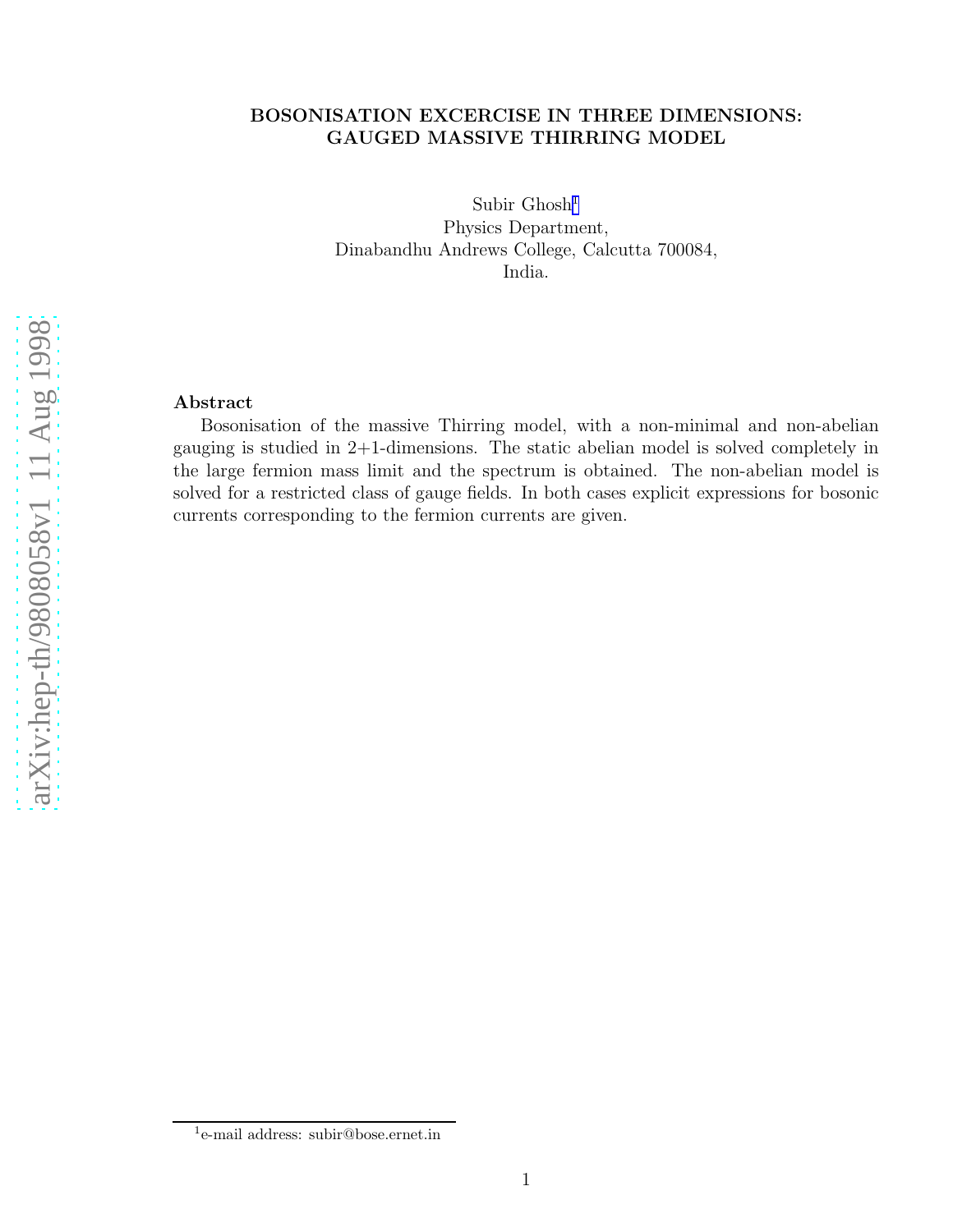# BOSONISATION EXCERCISE IN THREE DIMENSIONS: GAUGED MASSIVE THIRRING MODEL

Subir Ghosh 1 Physics Department, Dinabandhu Andrews College, Calcutta 700084, India.

# Abstract

Bosonisation of the massive Thirring model, with a non-minimal and non-abelian gauging is studied in 2+1-dimensions. The static abelian model is solved completely in the large fermion mass limit and the spectrum is obtained. The non-abelian model is solved for a restricted class of gauge fields. In both cases explicit expressions for bosonic currents corresponding to the fermion currents are given.

<sup>&</sup>lt;sup>1</sup>e-mail address: subir@bose.ernet.in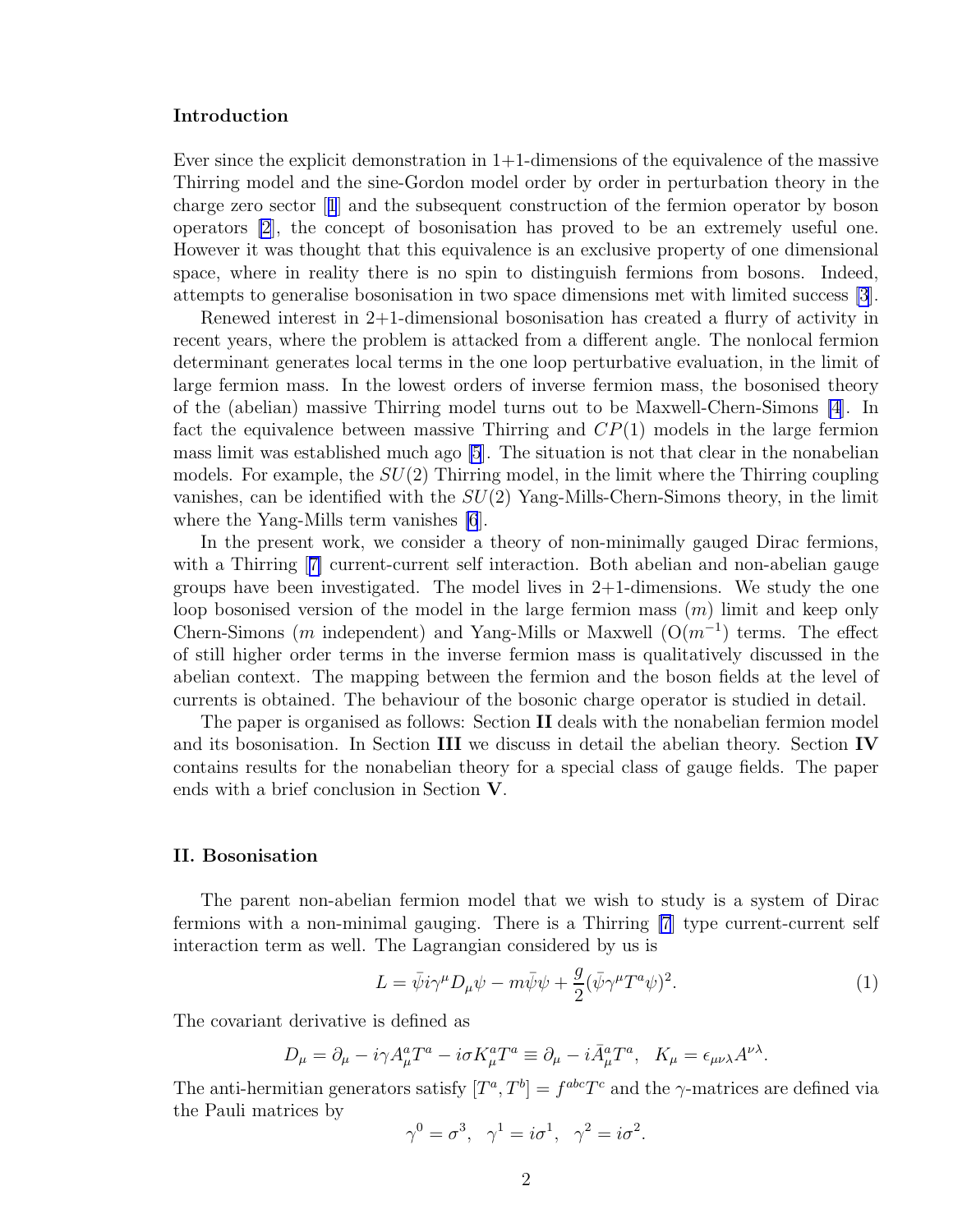#### <span id="page-1-0"></span>Introduction

Ever since the explicit demonstration in  $1+1$ -dimensions of the equivalence of the massive Thirring model and the sine-Gordon model order by order in perturbation theory in the charge zero sector[[1](#page-10-0)] and the subsequent construction of the fermion operator by boson operators [\[2](#page-10-0)], the concept of bosonisation has proved to be an extremely useful one. However it was thought that this equivalence is an exclusive property of one dimensional space, where in reality there is no spin to distinguish fermions from bosons. Indeed, attempts to generalise bosonisation in two space dimensions met with limited success [\[3](#page-10-0)].

Renewed interest in 2+1-dimensional bosonisation has created a flurry of activity in recent years, where the problem is attacked from a different angle. The nonlocal fermion determinant generates local terms in the one loop perturbative evaluation, in the limit of large fermion mass. In the lowest orders of inverse fermion mass, the bosonised theory of the (abelian) massive Thirring model turns out to be Maxwell-Chern-Simons [\[4](#page-10-0)]. In fact the equivalence between massive Thirring and  $CP(1)$  models in the large fermion mass limit was established much ago [\[5](#page-10-0)]. The situation is not that clear in the nonabelian models. For example, the  $SU(2)$  Thirring model, in the limit where the Thirring coupling vanishes, can be identified with the  $SU(2)$  Yang-Mills-Chern-Simons theory, in the limit where the Yang-Mills term vanishes [\[6](#page-10-0)].

In the present work, we consider a theory of non-minimally gauged Dirac fermions, witha Thirring [[7\]](#page-10-0) current-current self interaction. Both abelian and non-abelian gauge groups have been investigated. The model lives in  $2+1$ -dimensions. We study the one loop bosonised version of the model in the large fermion mass (m) limit and keep only Chern-Simons (m independent) and Yang-Mills or Maxwell  $(O(m^{-1})$  terms. The effect of still higher order terms in the inverse fermion mass is qualitatively discussed in the abelian context. The mapping between the fermion and the boson fields at the level of currents is obtained. The behaviour of the bosonic charge operator is studied in detail.

The paper is organised as follows: Section II deals with the nonabelian fermion model and its bosonisation. In Section III we discuss in detail the abelian theory. Section IV contains results for the nonabelian theory for a special class of gauge fields. The paper ends with a brief conclusion in Section V.

### II. Bosonisation

The parent non-abelian fermion model that we wish to study is a system of Dirac fermions with a non-minimal gauging. There is a Thirring [\[7](#page-10-0)] type current-current self interaction term as well. The Lagrangian considered by us is

$$
L = \bar{\psi}i\gamma^{\mu}D_{\mu}\psi - m\bar{\psi}\psi + \frac{g}{2}(\bar{\psi}\gamma^{\mu}T^{a}\psi)^{2}.
$$
 (1)

The covariant derivative is defined as

$$
D_{\mu} = \partial_{\mu} - i\gamma A_{\mu}^{a} T^{a} - i\sigma K_{\mu}^{a} T^{a} \equiv \partial_{\mu} - i\bar{A}_{\mu}^{a} T^{a}, \quad K_{\mu} = \epsilon_{\mu\nu\lambda} A^{\nu\lambda}.
$$

The anti-hermitian generators satisfy  $[T^a, T^b] = f^{abc}T^c$  and the  $\gamma$ -matrices are defined via the Pauli matrices by

$$
\gamma^0 = \sigma^3, \quad \gamma^1 = i\sigma^1, \quad \gamma^2 = i\sigma^2.
$$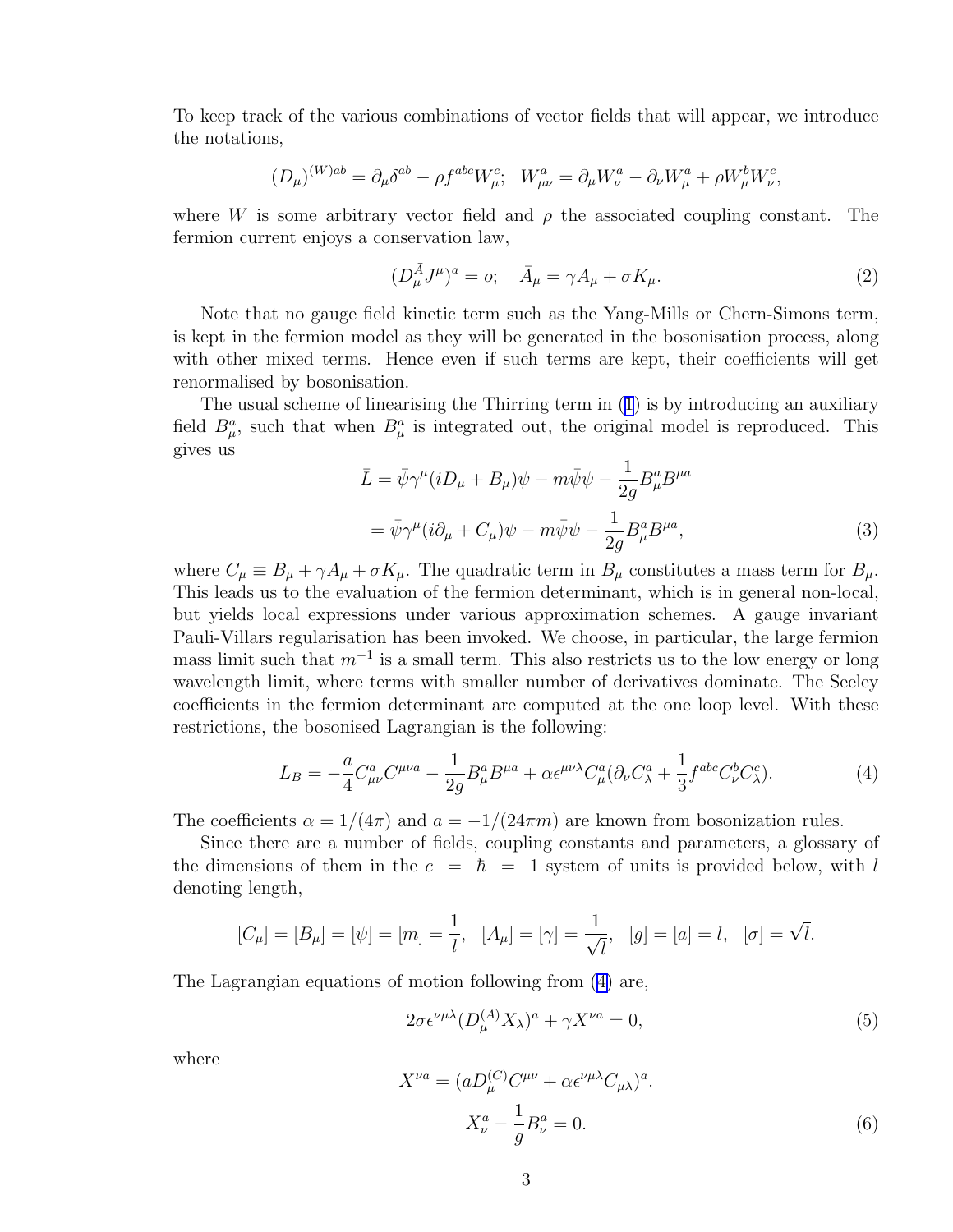<span id="page-2-0"></span>To keep track of the various combinations of vector fields that will appear, we introduce the notations,

$$
(D_{\mu})^{(W)ab} = \partial_{\mu}\delta^{ab} - \rho f^{abc}W_{\mu}^c; \quad W_{\mu\nu}^a = \partial_{\mu}W_{\nu}^a - \partial_{\nu}W_{\mu}^a + \rho W_{\mu}^bW_{\nu}^c,
$$

where W is some arbitrary vector field and  $\rho$  the associated coupling constant. The fermion current enjoys a conservation law,

$$
(D_{\mu}^{\bar{A}}J^{\mu})^a = o; \quad \bar{A}_{\mu} = \gamma A_{\mu} + \sigma K_{\mu}.
$$

Note that no gauge field kinetic term such as the Yang-Mills or Chern-Simons term, is kept in the fermion model as they will be generated in the bosonisation process, along with other mixed terms. Hence even if such terms are kept, their coefficients will get renormalised by bosonisation.

The usual scheme of linearising the Thirring term in([1](#page-1-0)) is by introducing an auxiliary field  $B^a_\mu$ , such that when  $B^a_\mu$  is integrated out, the original model is reproduced. This gives us

$$
\bar{L} = \bar{\psi}\gamma^{\mu}(iD_{\mu} + B_{\mu})\psi - m\bar{\psi}\psi - \frac{1}{2g}B_{\mu}^{a}B^{\mu a}
$$

$$
= \bar{\psi}\gamma^{\mu}(i\partial_{\mu} + C_{\mu})\psi - m\bar{\psi}\psi - \frac{1}{2g}B_{\mu}^{a}B^{\mu a}, \tag{3}
$$

where  $C_{\mu} \equiv B_{\mu} + \gamma A_{\mu} + \sigma K_{\mu}$ . The quadratic term in  $B_{\mu}$  constitutes a mass term for  $B_{\mu}$ . This leads us to the evaluation of the fermion determinant, which is in general non-local, but yields local expressions under various approximation schemes. A gauge invariant Pauli-Villars regularisation has been invoked. We choose, in particular, the large fermion mass limit such that  $m^{-1}$  is a small term. This also restricts us to the low energy or long wavelength limit, where terms with smaller number of derivatives dominate. The Seeley coefficients in the fermion determinant are computed at the one loop level. With these restrictions, the bosonised Lagrangian is the following:

$$
L_B = -\frac{a}{4} C^a_{\mu\nu} C^{\mu\nu a} - \frac{1}{2g} B^a_{\mu} B^{\mu a} + \alpha \epsilon^{\mu\nu\lambda} C^a_{\mu} (\partial_{\nu} C^a_{\lambda} + \frac{1}{3} f^{abc} C^b_{\nu} C^c_{\lambda}). \tag{4}
$$

The coefficients  $\alpha = 1/(4\pi)$  and  $a = -1/(24\pi m)$  are known from bosonization rules.

Since there are a number of fields, coupling constants and parameters, a glossary of the dimensions of them in the  $c = \hbar = 1$  system of units is provided below, with l denoting length,

$$
[C_{\mu}] = [B_{\mu}] = [\psi] = [m] = \frac{1}{l}, \quad [A_{\mu}] = [\gamma] = \frac{1}{\sqrt{l}}, \quad [g] = [a] = l, \quad [\sigma] = \sqrt{l}.
$$

The Lagrangian equations of motion following from (4) are,

$$
2\sigma \epsilon^{\nu\mu\lambda} (D_{\mu}^{(A)} X_{\lambda})^a + \gamma X^{\nu a} = 0, \tag{5}
$$

where

$$
X^{\nu a} = (aD_{\mu}^{(C)}C^{\mu\nu} + \alpha \epsilon^{\nu\mu\lambda}C_{\mu\lambda})^{a}.
$$
  

$$
X_{\nu}^{a} - \frac{1}{g}B_{\nu}^{a} = 0.
$$
 (6)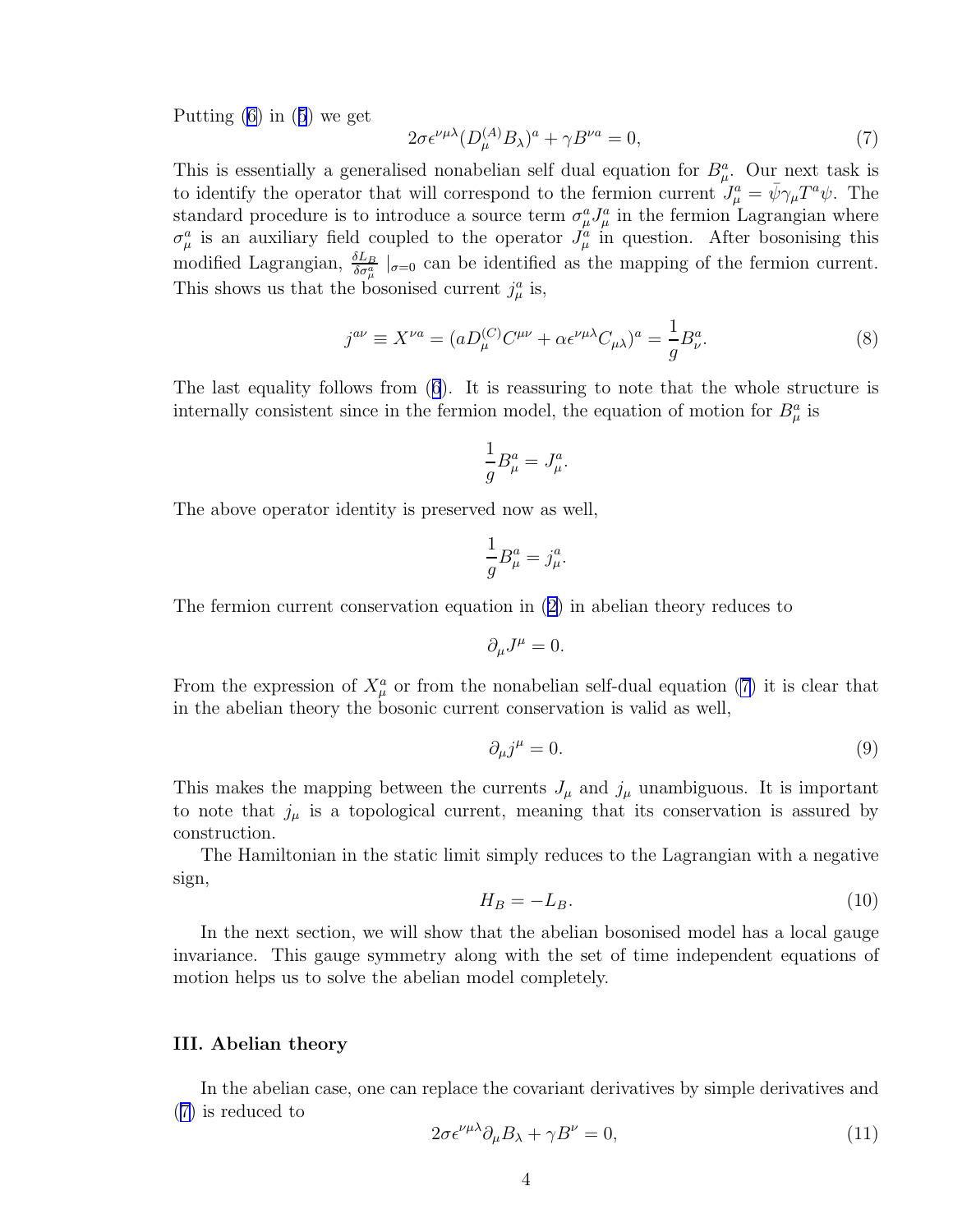<span id="page-3-0"></span>Putting $(6)$  $(6)$  in  $(5)$  $(5)$  $(5)$  we get

$$
2\sigma \epsilon^{\nu\mu\lambda} (D_{\mu}^{(A)} B_{\lambda})^a + \gamma B^{\nu a} = 0, \qquad (7)
$$

This is essentially a generalised nonabelian self dual equation for  $B^a_\mu$ . Our next task is to identify the operator that will correspond to the fermion current  $J^a_\mu = \bar{\psi}\gamma_\mu T^a \psi$ . The standard procedure is to introduce a source term  $\sigma^a_\mu J^a_\mu$  in the fermion Lagrangian where  $\sigma_{\mu}^{a}$  is an auxiliary field coupled to the operator  $J_{\mu}^{a}$  in question. After bosonising this modified Lagrangian,  $\frac{\delta L_B}{\delta \sigma_\mu^a}$   $|_{\sigma=0}$  can be identified as the mapping of the fermion current. This shows us that the bosonised current  $j^a_\mu$  is,

$$
j^{a\nu} \equiv X^{\nu a} = (aD_{\mu}^{(C)}C^{\mu\nu} + \alpha \epsilon^{\nu\mu\lambda}C_{\mu\lambda})^a = \frac{1}{g}B_{\nu}^a.
$$
\n(8)

The last equality follows from([6](#page-2-0)). It is reassuring to note that the whole structure is internally consistent since in the fermion model, the equation of motion for  $B^a_\mu$  is

$$
\frac{1}{g}B^a_\mu = J^a_\mu.
$$

The above operator identity is preserved now as well,

$$
\frac{1}{g}B^a_\mu = j^a_\mu.
$$

The fermion current conservation equation in [\(2\)](#page-2-0) in abelian theory reduces to

$$
\partial_{\mu}J^{\mu}=0.
$$

From the expression of  $X^a_\mu$  or from the nonabelian self-dual equation (7) it is clear that in the abelian theory the bosonic current conservation is valid as well,

$$
\partial_{\mu}j^{\mu} = 0. \tag{9}
$$

This makes the mapping between the currents  $J_{\mu}$  and  $j_{\mu}$  unambiguous. It is important to note that  $j_{\mu}$  is a topological current, meaning that its conservation is assured by construction.

The Hamiltonian in the static limit simply reduces to the Lagrangian with a negative sign,

$$
H_B = -L_B. \tag{10}
$$

In the next section, we will show that the abelian bosonised model has a local gauge invariance. This gauge symmetry along with the set of time independent equations of motion helps us to solve the abelian model completely.

## III. Abelian theory

In the abelian case, one can replace the covariant derivatives by simple derivatives and (7) is reduced to

$$
2\sigma \epsilon^{\nu\mu\lambda}\partial_{\mu}B_{\lambda} + \gamma B^{\nu} = 0, \tag{11}
$$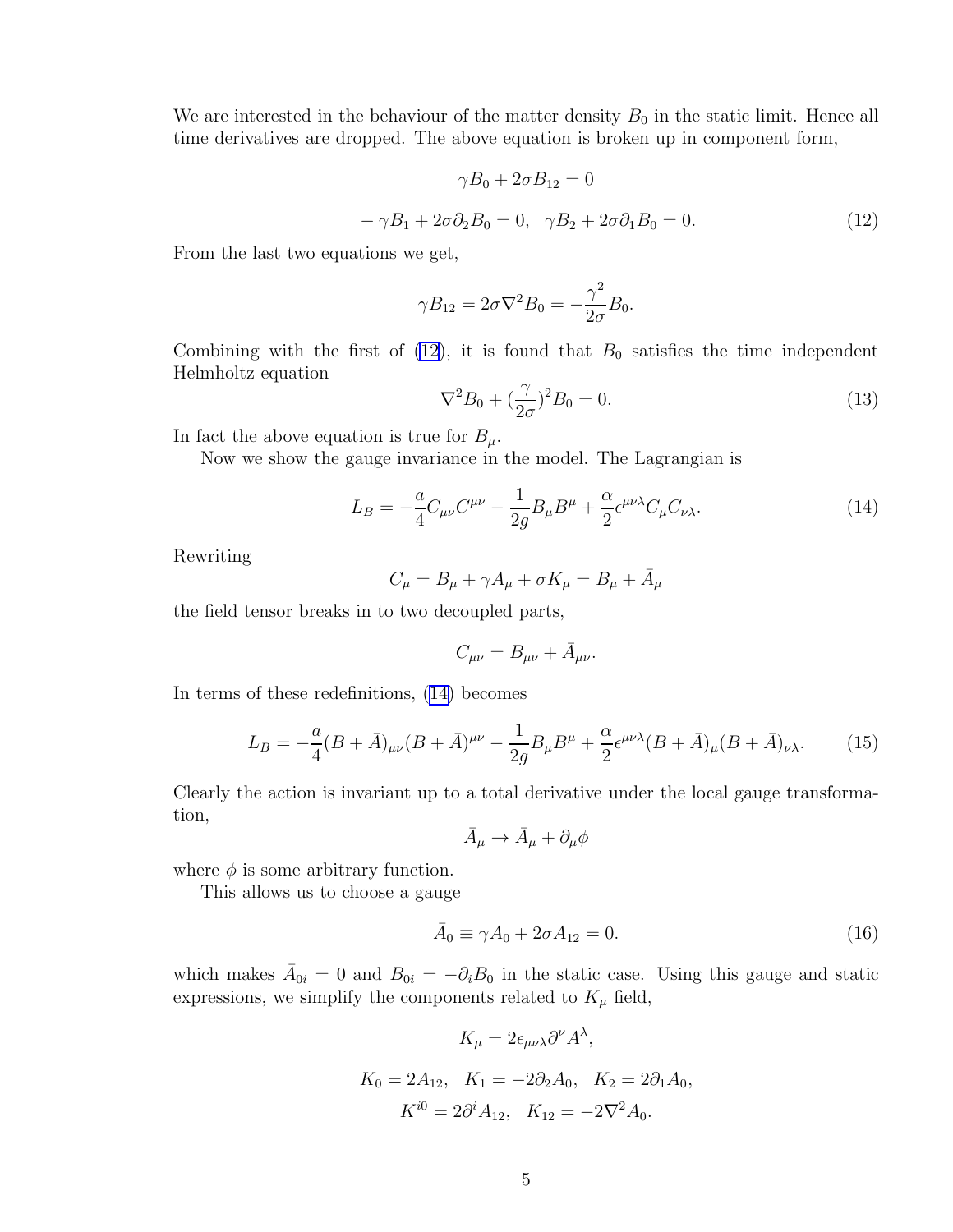<span id="page-4-0"></span>We are interested in the behaviour of the matter density  $B_0$  in the static limit. Hence all time derivatives are dropped. The above equation is broken up in component form,

$$
\gamma B_0 + 2\sigma B_{12} = 0
$$
  

$$
-\gamma B_1 + 2\sigma \partial_2 B_0 = 0, \quad \gamma B_2 + 2\sigma \partial_1 B_0 = 0.
$$
 (12)

From the last two equations we get,

$$
\gamma B_{12} = 2\sigma \nabla^2 B_0 = -\frac{\gamma^2}{2\sigma} B_0.
$$

Combining with the first of  $(12)$ , it is found that  $B_0$  satisfies the time independent Helmholtz equation

$$
\nabla^2 B_0 + \left(\frac{\gamma}{2\sigma}\right)^2 B_0 = 0. \tag{13}
$$

In fact the above equation is true for  $B_{\mu}$ .

Now we show the gauge invariance in the model. The Lagrangian is

$$
L_B = -\frac{a}{4}C_{\mu\nu}C^{\mu\nu} - \frac{1}{2g}B_{\mu}B^{\mu} + \frac{\alpha}{2}\epsilon^{\mu\nu\lambda}C_{\mu}C_{\nu\lambda}.
$$
 (14)

Rewriting

$$
C_{\mu} = B_{\mu} + \gamma A_{\mu} + \sigma K_{\mu} = B_{\mu} + \bar{A}_{\mu}
$$

the field tensor breaks in to two decoupled parts,

$$
C_{\mu\nu}=B_{\mu\nu}+\bar{A}_{\mu\nu}.
$$

In terms of these redefinitions, (14) becomes

$$
L_B = -\frac{a}{4}(B+\bar{A})_{\mu\nu}(B+\bar{A})^{\mu\nu} - \frac{1}{2g}B_{\mu}B^{\mu} + \frac{\alpha}{2}\epsilon^{\mu\nu\lambda}(B+\bar{A})_{\mu}(B+\bar{A})_{\nu\lambda}.
$$
 (15)

Clearly the action is invariant up to a total derivative under the local gauge transformation,

 $\bar{A}_{\mu} \rightarrow \bar{A}_{\mu} + \partial_{\mu}\phi$ 

where  $\phi$  is some arbitrary function.

This allows us to choose a gauge

$$
\bar{A}_0 \equiv \gamma A_0 + 2\sigma A_{12} = 0. \tag{16}
$$

which makes  $\bar{A}_{0i} = 0$  and  $B_{0i} = -\partial_i B_0$  in the static case. Using this gauge and static expressions, we simplify the components related to  $K_{\mu}$  field,

$$
K_{\mu} = 2\epsilon_{\mu\nu\lambda}\partial^{\nu}A^{\lambda},
$$
  
\n
$$
K_0 = 2A_{12}, \quad K_1 = -2\partial_2A_0, \quad K_2 = 2\partial_1A_0,
$$
  
\n
$$
K^{i0} = 2\partial^iA_{12}, \quad K_{12} = -2\nabla^2A_0.
$$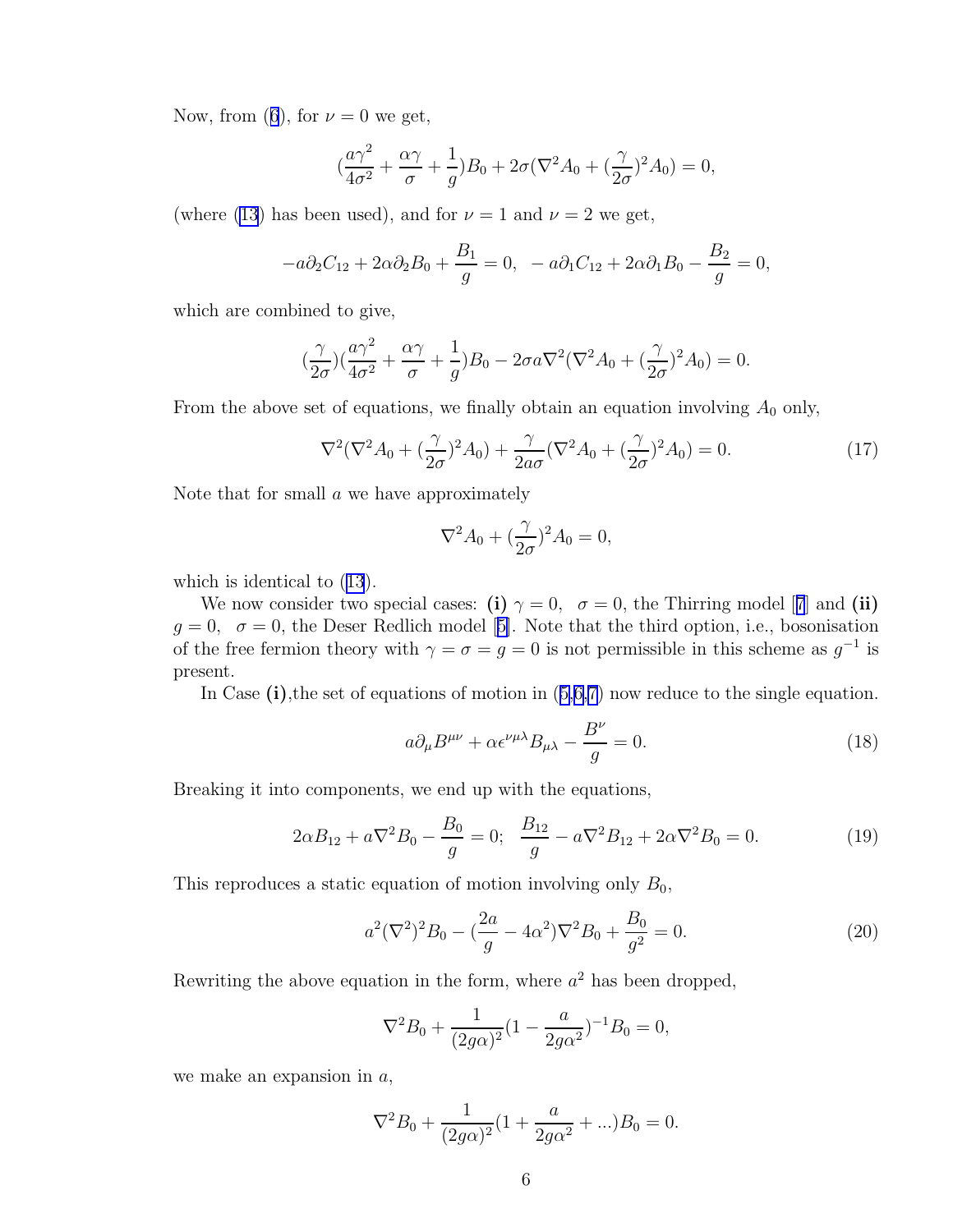<span id="page-5-0"></span>Now,from ([6](#page-2-0)), for  $\nu = 0$  we get,

$$
(\frac{a\gamma^2}{4\sigma^2} + \frac{\alpha\gamma}{\sigma} + \frac{1}{g})B_0 + 2\sigma(\nabla^2 A_0 + (\frac{\gamma}{2\sigma})^2 A_0) = 0,
$$

(where [\(13](#page-4-0)) has been used), and for  $\nu = 1$  and  $\nu = 2$  we get,

$$
-a\partial_2 C_{12} + 2\alpha \partial_2 B_0 + \frac{B_1}{g} = 0, \quad -a\partial_1 C_{12} + 2\alpha \partial_1 B_0 - \frac{B_2}{g} = 0,
$$

which are combined to give,

$$
(\frac{\gamma}{2\sigma})(\frac{a\gamma^2}{4\sigma^2} + \frac{\alpha\gamma}{\sigma} + \frac{1}{g})B_0 - 2\sigma a\nabla^2(\nabla^2 A_0 + (\frac{\gamma}{2\sigma})^2 A_0) = 0.
$$

From the above set of equations, we finally obtain an equation involving  $A_0$  only,

$$
\nabla^2(\nabla^2 A_0 + (\frac{\gamma}{2\sigma})^2 A_0) + \frac{\gamma}{2a\sigma}(\nabla^2 A_0 + (\frac{\gamma}{2\sigma})^2 A_0) = 0.
$$
 (17)

Note that for small  $a$  we have approximately

$$
\nabla^2 A_0 + (\frac{\gamma}{2\sigma})^2 A_0 = 0,
$$

which is identical to([13](#page-4-0)).

Wenow consider two special cases: (i)  $\gamma = 0$ ,  $\sigma = 0$ , the Thirring model [[7](#page-10-0)] and (ii)  $g = 0, \sigma = 0$  $g = 0, \sigma = 0$  $g = 0, \sigma = 0$ , the Deser Redlich model [[5\]](#page-10-0). Note that the third option, i.e., bosonisation of the free fermion theory with  $\gamma = \sigma = g = 0$  is not permissible in this scheme as  $g^{-1}$  is present.

InCase  $(i)$ , the set of equations of motion in  $(5,6,7)$  $(5,6,7)$  $(5,6,7)$  now reduce to the single equation.

$$
a\partial_{\mu}B^{\mu\nu} + \alpha \epsilon^{\nu\mu\lambda}B_{\mu\lambda} - \frac{B^{\nu}}{g} = 0.
$$
 (18)

Breaking it into components, we end up with the equations,

$$
2\alpha B_{12} + a\nabla^2 B_0 - \frac{B_0}{g} = 0; \quad \frac{B_{12}}{g} - a\nabla^2 B_{12} + 2\alpha\nabla^2 B_0 = 0. \tag{19}
$$

This reproduces a static equation of motion involving only  $B_0$ ,

$$
a^2(\nabla^2)^2 B_0 - (\frac{2a}{g} - 4\alpha^2) \nabla^2 B_0 + \frac{B_0}{g^2} = 0.
$$
 (20)

Rewriting the above equation in the form, where  $a^2$  has been dropped,

$$
\nabla^2 B_0 + \frac{1}{(2g\alpha)^2} (1 - \frac{a}{2g\alpha^2})^{-1} B_0 = 0,
$$

we make an expansion in  $a$ ,

$$
\nabla^2 B_0 + \frac{1}{(2g\alpha)^2} (1 + \frac{a}{2g\alpha^2} + \ldots) B_0 = 0.
$$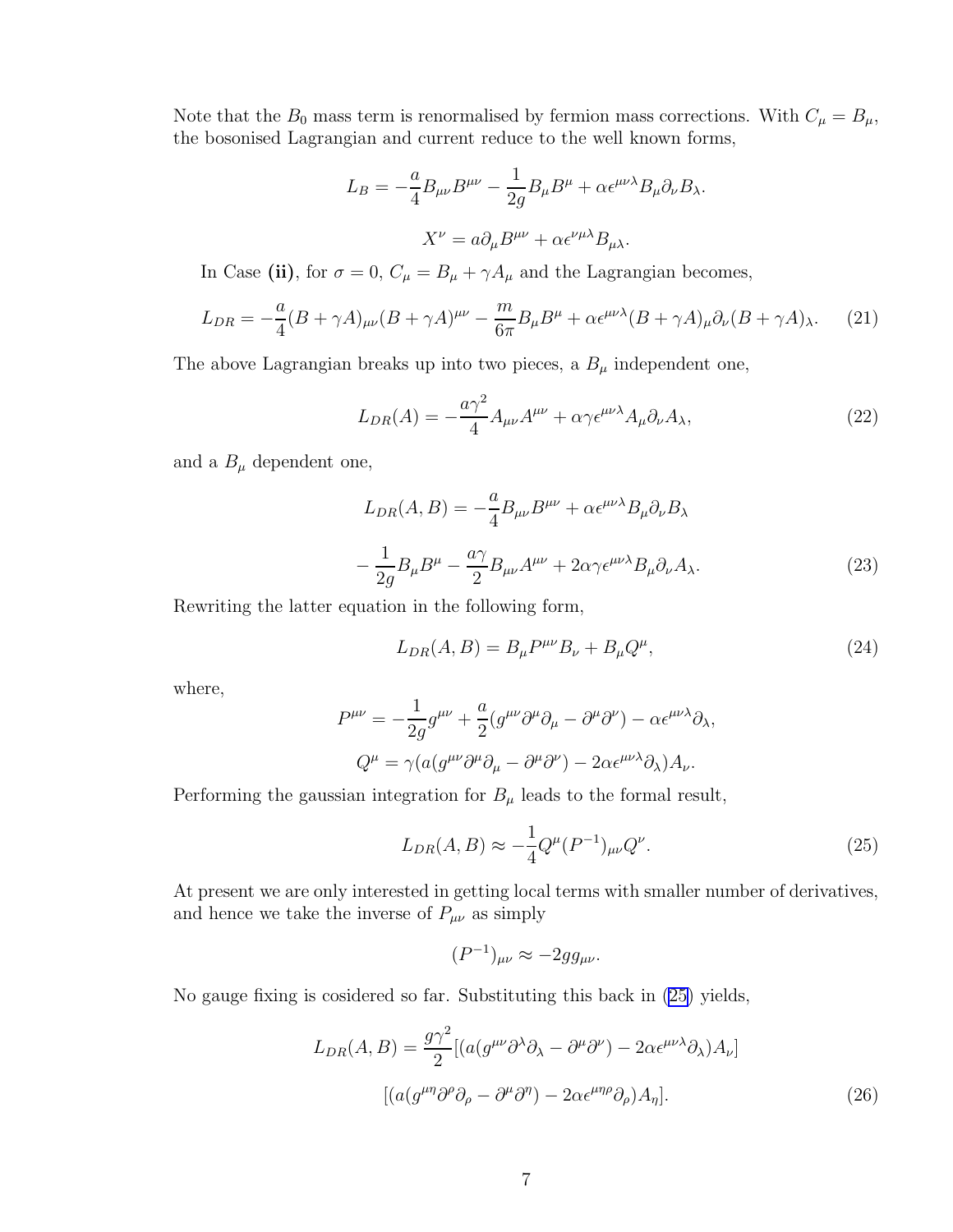Note that the  $B_0$  mass term is renormalised by fermion mass corrections. With  $C_{\mu} = B_{\mu}$ , the bosonised Lagrangian and current reduce to the well known forms,

$$
L_B = -\frac{a}{4} B_{\mu\nu} B^{\mu\nu} - \frac{1}{2g} B_{\mu} B^{\mu} + \alpha \epsilon^{\mu\nu\lambda} B_{\mu} \partial_{\nu} B_{\lambda}.
$$

$$
X^{\nu} = a \partial_{\mu} B^{\mu\nu} + \alpha \epsilon^{\nu\mu\lambda} B_{\mu\lambda}.
$$

In Case (ii), for  $\sigma = 0$ ,  $C_{\mu} = B_{\mu} + \gamma A_{\mu}$  and the Lagrangian becomes,

$$
L_{DR} = -\frac{a}{4}(B + \gamma A)_{\mu\nu}(B + \gamma A)^{\mu\nu} - \frac{m}{6\pi}B_{\mu}B^{\mu} + \alpha \epsilon^{\mu\nu\lambda}(B + \gamma A)_{\mu}\partial_{\nu}(B + \gamma A)_{\lambda}.
$$
 (21)

The above Lagrangian breaks up into two pieces, a  $B_{\mu}$  independent one,

$$
L_{DR}(A) = -\frac{a\gamma^2}{4}A_{\mu\nu}A^{\mu\nu} + \alpha\gamma\epsilon^{\mu\nu\lambda}A_{\mu}\partial_{\nu}A_{\lambda},\tag{22}
$$

and a  $B_{\mu}$  dependent one,

$$
L_{DR}(A,B) = -\frac{a}{4}B_{\mu\nu}B^{\mu\nu} + \alpha \epsilon^{\mu\nu\lambda}B_{\mu}\partial_{\nu}B_{\lambda}
$$

$$
-\frac{1}{2g}B_{\mu}B^{\mu} - \frac{a\gamma}{2}B_{\mu\nu}A^{\mu\nu} + 2\alpha \gamma \epsilon^{\mu\nu\lambda}B_{\mu}\partial_{\nu}A_{\lambda}.
$$
(23)

Rewriting the latter equation in the following form,

$$
L_{DR}(A,B) = B_{\mu}P^{\mu\nu}B_{\nu} + B_{\mu}Q^{\mu},
$$
\n(24)

where,

$$
P^{\mu\nu} = -\frac{1}{2g}g^{\mu\nu} + \frac{a}{2}(g^{\mu\nu}\partial^{\mu}\partial_{\mu} - \partial^{\mu}\partial^{\nu}) - \alpha\epsilon^{\mu\nu\lambda}\partial_{\lambda},
$$

$$
Q^{\mu} = \gamma(a(g^{\mu\nu}\partial^{\mu}\partial_{\mu} - \partial^{\mu}\partial^{\nu}) - 2\alpha\epsilon^{\mu\nu\lambda}\partial_{\lambda})A_{\nu}.
$$

Performing the gaussian integration for  $B_{\mu}$  leads to the formal result,

$$
L_{DR}(A,B) \approx -\frac{1}{4} Q^{\mu} (P^{-1})_{\mu\nu} Q^{\nu}.
$$
 (25)

At present we are only interested in getting local terms with smaller number of derivatives, and hence we take the inverse of  $P_{\mu\nu}$  as simply

$$
(P^{-1})_{\mu\nu}\approx -2g g_{\mu\nu}.
$$

No gauge fixing is cosidered so far. Substituting this back in (25) yields,

$$
L_{DR}(A,B) = \frac{g\gamma^2}{2} [(a(g^{\mu\nu}\partial^{\lambda}\partial_{\lambda} - \partial^{\mu}\partial^{\nu}) - 2\alpha\epsilon^{\mu\nu\lambda}\partial_{\lambda})A_{\nu}]
$$

$$
[(a(g^{\mu\eta}\partial^{\rho}\partial_{\rho} - \partial^{\mu}\partial^{\eta}) - 2\alpha\epsilon^{\mu\eta\rho}\partial_{\rho})A_{\eta}].
$$
 (26)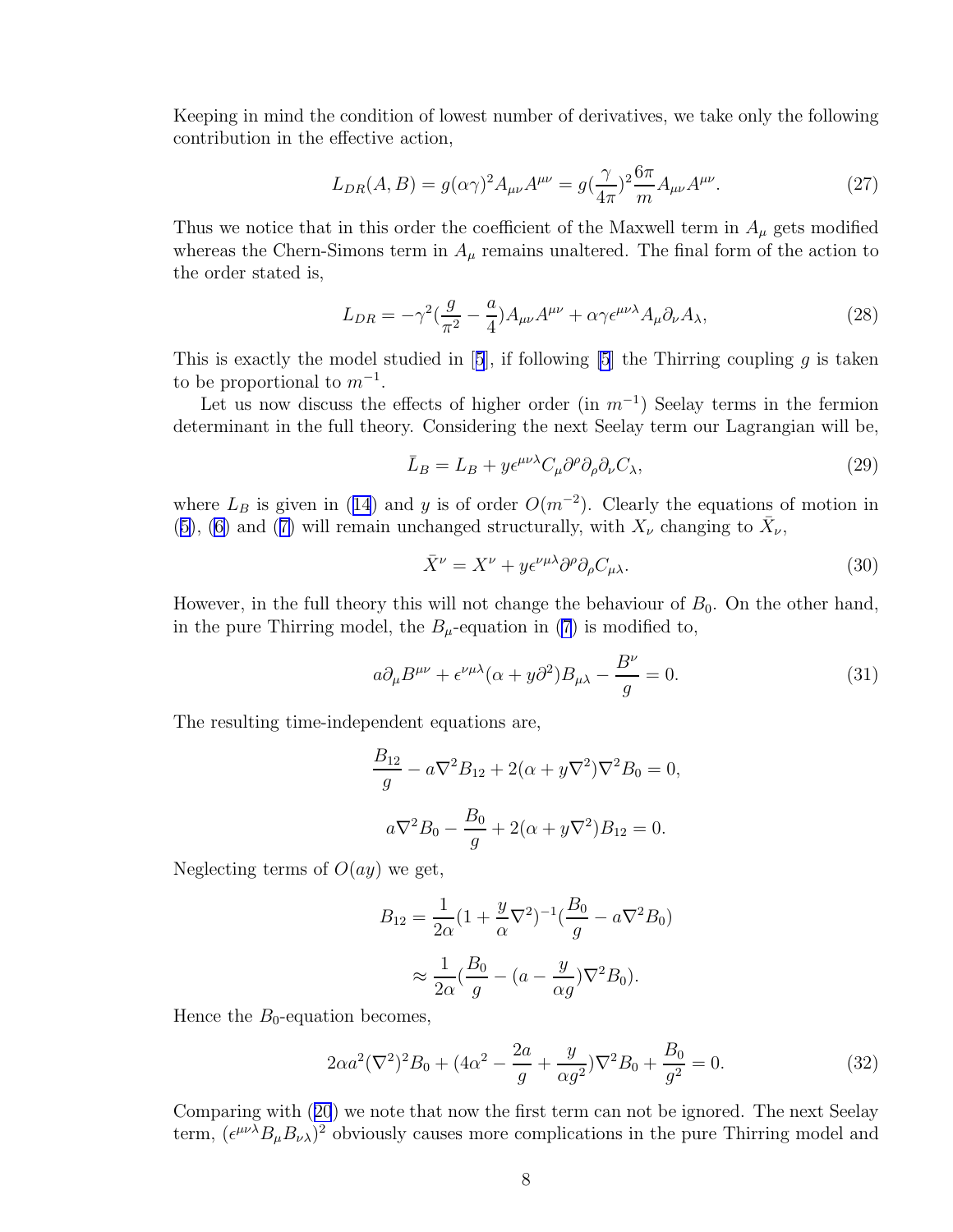Keeping in mind the condition of lowest number of derivatives, we take only the following contribution in the effective action,

$$
L_{DR}(A,B) = g(\alpha \gamma)^2 A_{\mu\nu} A^{\mu\nu} = g(\frac{\gamma}{4\pi})^2 \frac{6\pi}{m} A_{\mu\nu} A^{\mu\nu}.
$$
 (27)

Thus we notice that in this order the coefficient of the Maxwell term in  $A_\mu$  gets modified whereas the Chern-Simons term in  $A_\mu$  remains unaltered. The final form of the action to the order stated is,

$$
L_{DR} = -\gamma^2 \left(\frac{g}{\pi^2} - \frac{a}{4}\right) A_{\mu\nu} A^{\mu\nu} + \alpha \gamma \epsilon^{\mu\nu\lambda} A_{\mu} \partial_{\nu} A_{\lambda},\tag{28}
$$

Thisis exactly the model studied in [[5](#page-10-0)], if following [\[5](#page-10-0)] the Thirring coupling  $q$  is taken to be proportional to  $m^{-1}$ .

Let us now discuss the effects of higher order (in  $m^{-1}$ ) Seelay terms in the fermion determinant in the full theory. Considering the next Seelay term our Lagrangian will be,

$$
\bar{L}_B = L_B + y \epsilon^{\mu\nu\lambda} C_\mu \partial^\rho \partial_\rho \partial_\nu C_\lambda,\tag{29}
$$

where $L_B$  is given in ([14](#page-4-0)) and y is of order  $O(m^{-2})$ . Clearly the equations of motion in ([5\)](#page-2-0),([6\)](#page-2-0) and ([7\)](#page-3-0) will remain unchanged structurally, with  $X_{\nu}$  changing to  $\bar{X}_{\nu}$ ,

$$
\bar{X}^{\nu} = X^{\nu} + y \epsilon^{\nu \mu \lambda} \partial^{\rho} \partial_{\rho} C_{\mu \lambda}.
$$
\n(30)

However, in the full theory this will not change the behaviour of  $B_0$ . On the other hand, in the pure Thirring model, the  $B_\mu$ -equation in [\(7](#page-3-0)) is modified to,

$$
a\partial_{\mu}B^{\mu\nu} + \epsilon^{\nu\mu\lambda}(\alpha + y\partial^2)B_{\mu\lambda} - \frac{B^{\nu}}{g} = 0.
$$
 (31)

The resulting time-independent equations are,

$$
\frac{B_{12}}{g} - a\nabla^2 B_{12} + 2(\alpha + y\nabla^2)\nabla^2 B_0 = 0,
$$
  

$$
a\nabla^2 B_0 - \frac{B_0}{g} + 2(\alpha + y\nabla^2)B_{12} = 0.
$$

Neglecting terms of  $O(ay)$  we get,

$$
B_{12} = \frac{1}{2\alpha} (1 + \frac{y}{\alpha} \nabla^2)^{-1} (\frac{B_0}{g} - a \nabla^2 B_0)
$$

$$
\approx \frac{1}{2\alpha} (\frac{B_0}{g} - (a - \frac{y}{\alpha g}) \nabla^2 B_0).
$$

Hence the  $B_0$ -equation becomes,

$$
2\alpha a^2 (\nabla^2)^2 B_0 + (4\alpha^2 - \frac{2a}{g} + \frac{y}{\alpha g^2}) \nabla^2 B_0 + \frac{B_0}{g^2} = 0.
$$
 (32)

Comparing with([20](#page-5-0)) we note that now the first term can not be ignored. The next Seelay term,  $(\epsilon^{\mu\nu\lambda}B_{\mu}B_{\nu\lambda})^2$  obviously causes more complications in the pure Thirring model and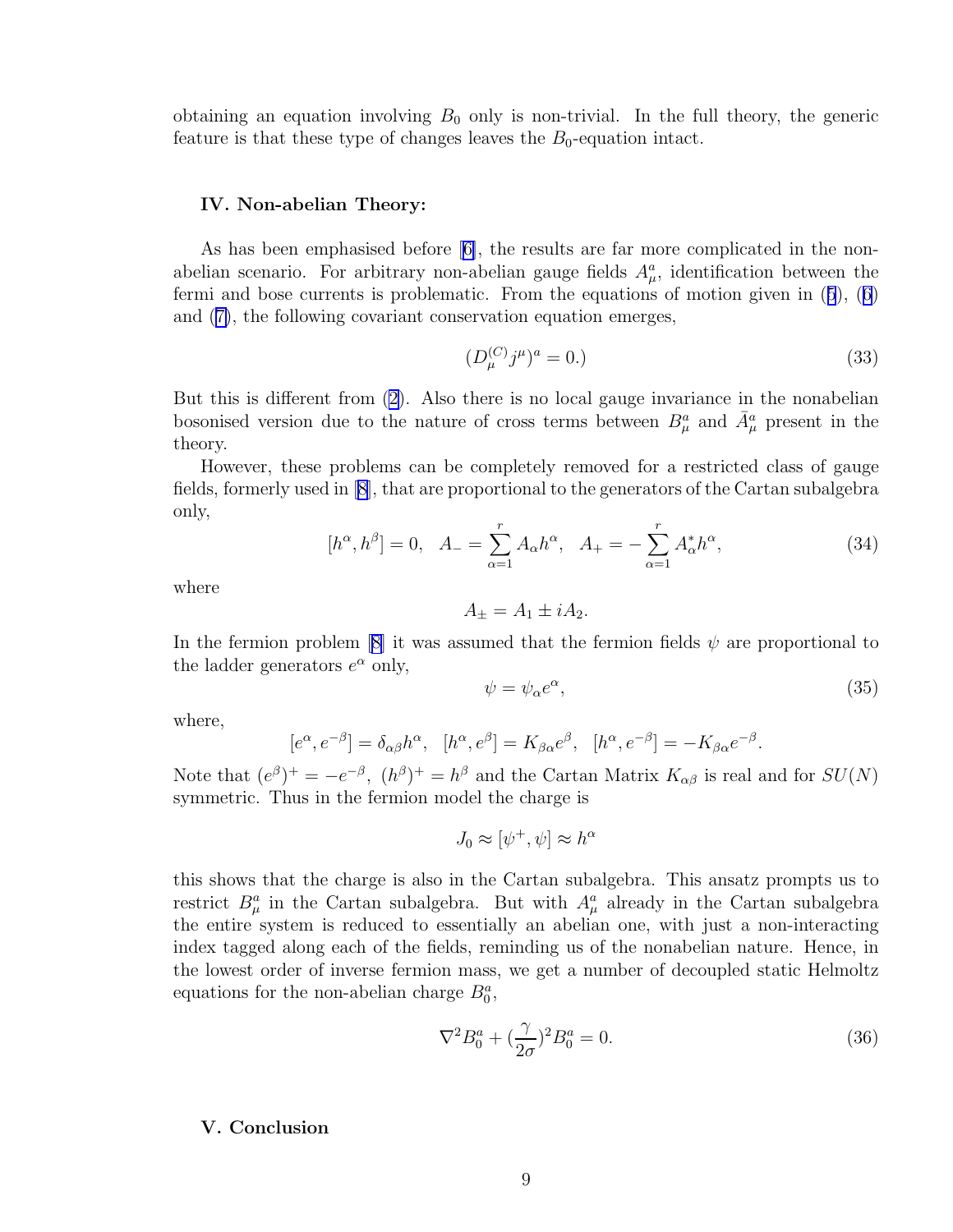obtaining an equation involving  $B_0$  only is non-trivial. In the full theory, the generic feature is that these type of changes leaves the  $B_0$ -equation intact.

#### IV. Non-abelian Theory:

As has been emphasised before[[6\]](#page-10-0), the results are far more complicated in the nonabelian scenario. For arbitrary non-abelian gauge fields  $A^a_\mu$ , identification between the fermi and bose currents is problematic. From the equations of motion given in([5](#page-2-0)),([6](#page-2-0)) and([7\)](#page-3-0), the following covariant conservation equation emerges,

$$
(D_{\mu}^{(C)}j^{\mu})^a = 0. \tag{33}
$$

But this is different from [\(2\)](#page-2-0). Also there is no local gauge invariance in the nonabelian bosonised version due to the nature of cross terms between  $B^a_\mu$  and  $\bar{A}^a_\mu$  present in the theory.

However, these problems can be completely removed for a restricted class of gauge fields, formerly used in [\[8](#page-10-0)], that are proportional to the generators of the Cartan subalgebra only,

$$
[h^{\alpha}, h^{\beta}] = 0, \quad A_{-} = \sum_{\alpha=1}^{r} A_{\alpha} h^{\alpha}, \quad A_{+} = -\sum_{\alpha=1}^{r} A_{\alpha}^{*} h^{\alpha}, \tag{34}
$$

where

$$
A_{\pm} = A_1 \pm i A_2.
$$

In the fermion problem [\[8\]](#page-10-0) it was assumed that the fermion fields  $\psi$  are proportional to the ladder generators  $e^{\alpha}$  only,

$$
\psi = \psi_{\alpha} e^{\alpha},\tag{35}
$$

where,

$$
[e^{\alpha}, e^{-\beta}] = \delta_{\alpha\beta}h^{\alpha}, \quad [h^{\alpha}, e^{\beta}] = K_{\beta\alpha}e^{\beta}, \quad [h^{\alpha}, e^{-\beta}] = -K_{\beta\alpha}e^{-\beta}.
$$

Note that  $(e^{\beta})^+=-e^{-\beta}$ ,  $(h^{\beta})^+=h^{\beta}$  and the Cartan Matrix  $K_{\alpha\beta}$  is real and for  $SU(N)$ symmetric. Thus in the fermion model the charge is

$$
J_0 \approx [\psi^+, \psi] \approx h^{\alpha}
$$

this shows that the charge is also in the Cartan subalgebra. This ansatz prompts us to restrict  $B^a_\mu$  in the Cartan subalgebra. But with  $A^a_\mu$  already in the Cartan subalgebra the entire system is reduced to essentially an abelian one, with just a non-interacting index tagged along each of the fields, reminding us of the nonabelian nature. Hence, in the lowest order of inverse fermion mass, we get a number of decoupled static Helmoltz equations for the non-abelian charge  $B_0^a$ ,

$$
\nabla^2 B_0^a + (\frac{\gamma}{2\sigma})^2 B_0^a = 0.
$$
\n(36)

### V. Conclusion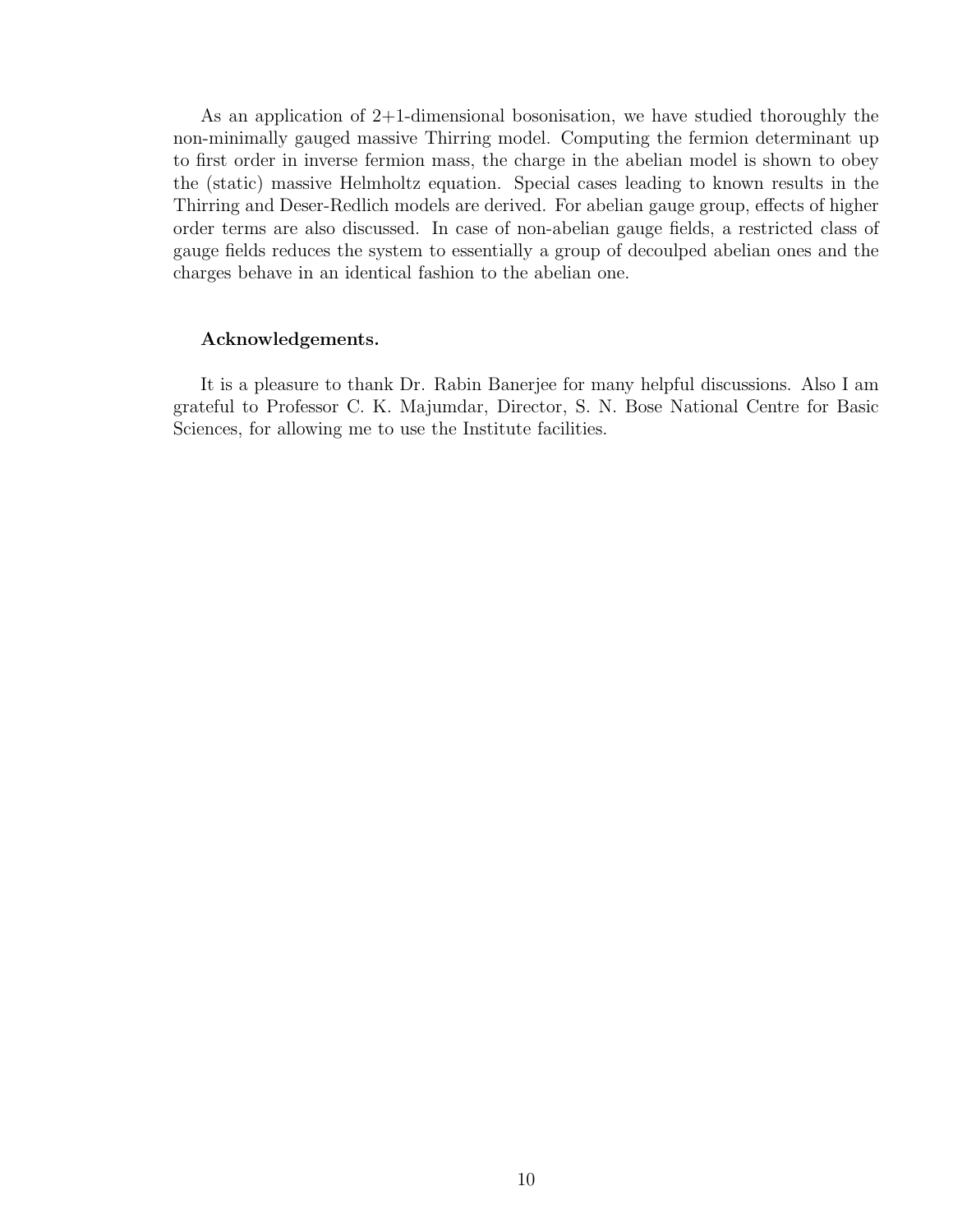As an application of 2+1-dimensional bosonisation, we have studied thoroughly the non-minimally gauged massive Thirring model. Computing the fermion determinant up to first order in inverse fermion mass, the charge in the abelian model is shown to obey the (static) massive Helmholtz equation. Special cases leading to known results in the Thirring and Deser-Redlich models are derived. For abelian gauge group, effects of higher order terms are also discussed. In case of non-abelian gauge fields, a restricted class of gauge fields reduces the system to essentially a group of decoulped abelian ones and the charges behave in an identical fashion to the abelian one.

#### Acknowledgements.

It is a pleasure to thank Dr. Rabin Banerjee for many helpful discussions. Also I am grateful to Professor C. K. Majumdar, Director, S. N. Bose National Centre for Basic Sciences, for allowing me to use the Institute facilities.